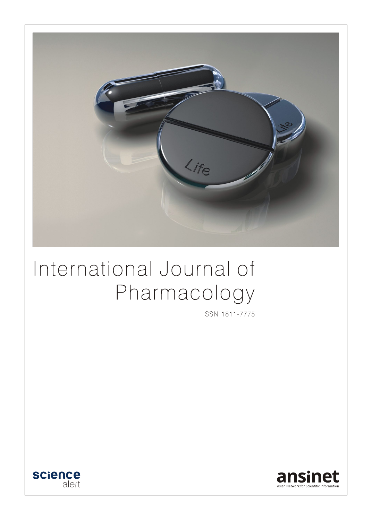

# International Journal of Pharmacology

ISSN 1811-7775



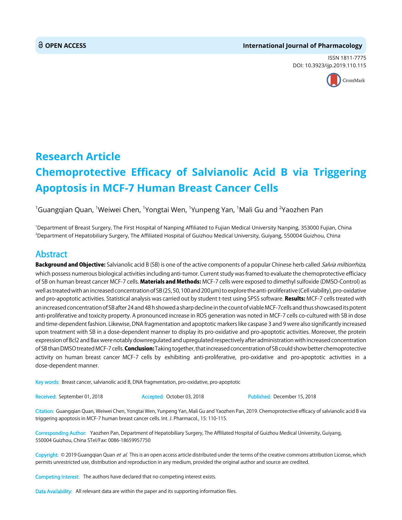#### **OPEN ACCESS International Journal of Pharmacology**

ISSN 1811-7775 DOI: 10.3923/ijp.2019.110.115



## **Research Article Chemoprotective Efficacy of Salvianolic Acid B via Triggering Apoptosis in MCF-7 Human Breast Cancer Cells**

 $^{\rm 1}$ Guangqian Quan,  $^{\rm 1}$ Weiwei Chen,  $^{\rm 1}$ Yongtai Wen,  $^{\rm 1}$ Yunpeng Yan,  $^{\rm 1}$ Mali Gu and  $^{\rm 2}$ Yaozhen Pan

1 Department of Breast Surgery, The First Hospital of Nanping Affiliated to Fujian Medical University Nanping, 353000 Fujian, China 2 Department of Hepatobiliary Surgery, The Affiliated Hospital of Guizhou Medical University, Guiyang, 550004 Guizhou, China

### Abstract

Background and Objective: Salvianolic acid B (SB) is one of the active components of a popular Chinese herb called Salvia miltiorrhiza, which possess numerous biological activities including anti-tumor. Current study was framed to evaluate the chemoprotective efficiacy of SB on human breast cancer MCF-7 cells. Materials and Methods: MCF-7 cells were exposed to dimethyl sulfoxide (DMSO-Control) as well as treated with an increased concentration of SB (25, 50, 100 and 200  $\mu$ m) to explore the anti-proliferative (Cell viability), pro-oxidative and pro-apoptotic activities. Statistical analysis was carried out by student t-test using SPSS software. Results: MCF-7 cells treated with an increased concentration of SB after 24 and 48 h showed a sharp decline in the count of viable MCF-7cells and thus showcased its potent anti-proliferative and toxicity property. A pronounced increase in ROS generation was noted in MCF-7 cells co-cultured with SB in dose and time-dependent fashion. Likewise, DNA fragmentation and apoptotic markers like caspase 3 and 9 were also significantly increased upon treatment with SB in a dose-dependent manner to display its pro-oxidative and pro-apoptotic activities. Moreover, the protein expression of Bcl2 and Bax were notably downregulated and upregulated respectively after administration with increased concentration of SB than DMSO treated MCF-7 cells. **Conclusion:** Taking together, that increased concentration of SB could show better chemoprotective activity on human breast cancer MCF-7 cells by exhibiting anti-proliferative, pro-oxidative and pro-apoptotic activities in a dose-dependent manner.

Key words: Breast cancer, salvianolic acid B, DNA fragmentation, pro-oxidative, pro-apoptotic

Received: September 01, 2018 Accepted: October 03, 2018 Published: December 15, 2018

Citation: Guangqian Quan, Weiwei Chen, Yongtai Wen, Yunpeng Yan, Mali Gu and Yaozhen Pan, 2019. Chemoprotective efficacy of salvianolic acid B via triggering apoptosis in MCF-7 human breast cancer cells. Int. J. Pharmacol., 15: 110-115.

Corresponding Author: Yaozhen Pan, Department of Hepatobiliary Surgery, The Affiliated Hospital of Guizhou Medical University, Guiyang, 550004 Guizhou, China STel/Fax: 0086-18659957750

Copyright: © 2019 Guangqian Quan et al. This is an open access article distributed under the terms of the creative commons attribution License, which permits unrestricted use, distribution and reproduction in any medium, provided the original author and source are credited.

Competing Interest: The authors have declared that no competing interest exists.

Data Availability: All relevant data are within the paper and its supporting information files.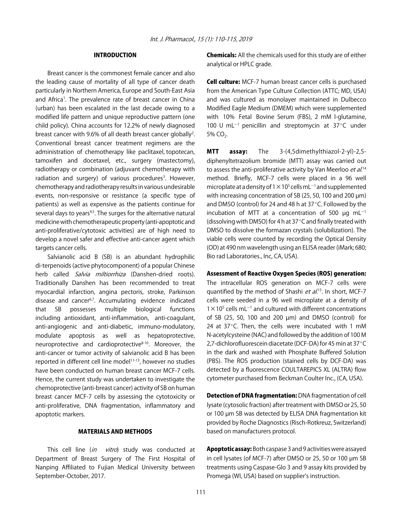#### INTRODUCTION

Breast cancer is the commonest female cancer and also the leading cause of mortality of all type of cancer death particularly in Northern America, Europe and South-East Asia and Africa<sup>1</sup>. The prevalence rate of breast cancer in China (urban) has been escalated in the last decade owing to a modified life pattern and unique reproductive pattern (one child policy). China accounts for 12.2% of newly diagnosed breast cancer with 9.6% of all death breast cancer globally<sup>2</sup>. Conventional breast cancer treatment regimens are the administration of chemotherapy like paclitaxel, topotecan, tamoxifen and docetaxel, etc., surgery (mastectomy), radiotherapy or combination (adjuvant chemotherapy with radiation and surgery) of various procedures<sup>3</sup>. However, chemotherapy and radiotherapy results in various undesirable events, non-responsive or resistance (a specific type of patients) as well as expensive as the patients continue for several days to years<sup>4,5</sup>. The surges for the alternative natural medicine with chemotherapeutic property (anti-apoptotic and anti-proliferative/cytotoxic activities) are of high need to develop a novel safer and effective anti-cancer agent which targets cancer cells.

Salvianolic acid B (SB) is an abundant hydrophilic di-terpenoids (active phytocomponent) of a popular Chinese herb called *Salvia miltiorrhiza* (Danshen-dried roots). Traditionally Danshen has been recommended to treat myocardial infarction, angina pectoris, stroke, Parkinson disease and cancer<sup>6,7</sup>. Accumulating evidence indicated that SB possesses multiple biological functions including antioxidant, anti-inflammation, anti-coagulant, anti-angiogenic and anti-diabetic, immuno-modulatory, modulate apoptosis as well as hepatoprotective, neuroprotective and cardioprotective<sup>8-10</sup>. Moreover, the anti-cancer or tumor activity of salvianolic acid B has been reported in different cell line model<sup>11-13</sup>, however no studies have been conducted on human breast cancer MCF-7 cells. Hence, the current study was undertaken to investigate the chemoprotective (anti-breast cancer) activity of SB on human breast cancer MCF-7 cells by assessing the cytotoxicity or anti-proliferative, DNA fragmentation, inflammatory and apoptotic markers.

#### MATERIALS AND METHODS

This cell line (in vitro) study was conducted at Department of Breast Surgery of The First Hospital of Nanping Affiliated to Fujian Medical University between September-October, 2017.

Chemicals: All the chemicals used for this study are of either analytical or HPLC grade.

**Cell culture:** MCF-7 human breast cancer cells is purchased from the American Type Culture Collection (ATTC; MD, USA) and was cultured as monolayer maintained in Dulbecco Modified Eagle Medium (DMEM) which were supplemented with 10% Fetal Bovine Serum (FBS), 2 mM l-glutamine, 100 U mL $^{-1}$  penicillin and streptomycin at 37 $^{\circ}$ C under  $5% CO<sub>2</sub>$ .

MTT assay: The 3-(4,5dimethylthiazol-2-yl)-2,5 diphenyltetrazolium bromide (MTT) assay was carried out to assess the anti-proliferative activity by Van Meerloo *et al.*<sup>14</sup> method. Briefly, MCF-7 cells were placed in a 96 well microplate at a density of 1  $\times$  10<sup>5</sup> cells mL<sup>-1</sup> and supplemented with increasing concentration of SB (25, 50, 100 and 200  $\mu$ m) and DMSO (control) for 24 and 48 h at  $37^{\circ}$ C. Followed by the incubation of MTT at a concentration of 500  $\mu$ g mL<sup>-1</sup> (dissolving with DMSO) for 4 h at  $37^{\circ}$ C and finally treated with DMSO to dissolve the formazan crystals (solubilization). The viable cells were counted by recording the Optical Density (OD) at 490 nm wavelength using an ELISA reader (iMark; 680; Bio rad Laboratories., Inc, CA, USA).

#### Assessment of Reactive Oxygen Species (ROS) generation:

The intracellular ROS generation on MCF-7 cells were quantified by the method of Shashi *et al*.<sup>15</sup>. In short, MCF-7 cells were seeded in a 96 well microplate at a density of  $1 \times 10^5$  cells mL<sup>-1</sup> and cultured with different concentrations of SB (25, 50, 100 and 200 µm) and DMSO (control) for 24 at 37 $\degree$ C. Then, the cells were incubated with 1 mM N-acetylcysteine (NAC) and followed by the addition of 100 M 2,7-dichlorofluorescein diacetate (DCF-DA) for 45 min at 37 $^{\circ}$ C in the dark and washed with Phosphate Buffered Solution (PBS). The ROS production (stained cells by DCF-DA) was detected by a fluorescence COULTAREPICS XL (ALTRA) flow cytometer purchased from Beckman Coulter Inc., (CA, USA).

Detection of DNA fragmentation: DNA fragmentation of cell lysate (cytosolic fraction) after treatment with DMSO or 25, 50 or 100 µm SB was detected by ELISA DNA fragmentation kit provided by Roche Diagnostics (Risch-Rotkreuz, Switzerland) based on manufacturers protocol.

Apoptotic assay: Both caspase 3 and 9 activities were assayed in cell lysates (of MCF-7) after DMSO or 25, 50 or 100 µm SB treatments using Caspase-Glo 3 and 9 assay kits provided by Promega (WI, USA) based on supplier's instruction.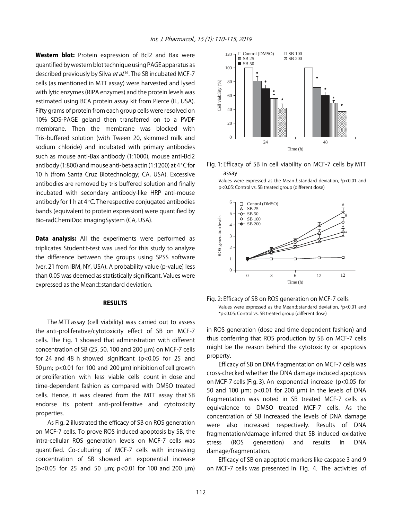Western blot: Protein expression of Bcl2 and Bax were quantified by western blot technique using PAGE apparatus as described previously by Silva *et al*.<sup>16</sup>. The SB incubated MCF-7 cells (as mentioned in MTT assay) were harvested and lysed with lytic enzymes (RIPA enzymes) and the protein levels was estimated using BCA protein assay kit from Pierce (IL, USA). Fifty grams of protein from each group cells were resolved on 10% SDS-PAGE geland then transferred on to a PVDF membrane. Then the membrane was blocked with Tris-buffered solution (with Tween 20, skimmed milk and sodium chloride) and incubated with primary antibodies such as mouse anti-Bax antibody (1:1000), mouse anti-Bcl2 antibody (1:800) and mouse anti-beta actin (1:1200) at  $4^{\circ}$ C for 10 h (from Santa Cruz Biotechnology; CA, USA). Excessive antibodies are removed by tris buffered solution and finally incubated with secondary antibody-like HRP anti-mouse antibody for 1 h at  $4^{\circ}$ C. The respective conjugated antibodies bands (equivalent to protein expression) were quantified by Bio-radChemiDoc imagingSystem (CA, USA).

Data analysis: All the experiments were performed as triplicates. Student t-test was used for this study to analyze the difference between the groups using SPSS software (ver. 21 from IBM, NY, USA). A probability value (p-value) less than 0.05 was deemed as statistically significant. Values were expressed as the Mean±standard deviation.

#### RESULTS

The MTT assay (cell viability) was carried out to assess the anti-proliferative/cytotoxicity effect of SB on MCF-7 cells. The Fig. 1 showed that administration with different concentration of SB (25, 50, 100 and 200 µm) on MCF-7 cells for 24 and 48 h showed significant ( $p < 0.05$  for 25 and 50  $\mu$ m; p<0.01 for 100 and 200  $\mu$ m) inhibition of cell growth or proliferation with less viable cells count in dose and time-dependent fashion as compared with DMSO treated cells. Hence, it was cleared from the MTT assay that SB endorse its potent anti-proliferative and cytotoxicity properties.

As Fig. 2 illustrated the efficacy of SB on ROS generation on MCF-7 cells. To prove ROS induced apoptosis by SB, the intra-cellular ROS generation levels on MCF-7 cells was quantified. Co-culturing of MCF-7 cells with increasing concentration of SB showed an exponential increase (p<0.05 for 25 and 50 µm; p<0.01 for 100 and 200 µm)



Fig. 1: Efficacy of SB in cell viability on MCF-7 cells by MTT assay





Fig. 2: Efficacy of SB on ROS generation on MCF-7 cells Values were expressed as the Mean±standard deviation, # p<0.01 and \*p<0.05: Control vs. SB treated group (different dose)

in ROS generation (dose and time-dependent fashion) and thus conferring that ROS production by SB on MCF-7 cells might be the reason behind the cytotoxicity or apoptosis property.

Efficacy of SB on DNA fragmentation on MCF-7 cells was cross-checked whether the DNA damage induced apoptosis on MCF-7 cells (Fig. 3). An exponential increase (p<0.05 for 50 and 100  $\mu$ m; p<0.01 for 200  $\mu$ m) in the levels of DNA fragmentation was noted in SB treated MCF-7 cells as equivalence to DMSO treated MCF-7 cells. As the concentration of SB increased the levels of DNA damage were also increased respectively. Results of DNA fragmentation/damage inferred that SB induced oxidative stress (ROS generation) and results in DNA damage/fragmentation.

Efficacy of SB on apoptotic markers like caspase 3 and 9 on MCF-7 cells was presented in Fig. 4. The activities of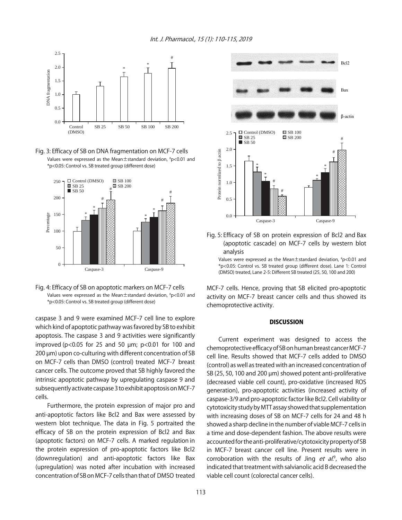Int. J. Pharmacol., 15 (1): 110-115, 2019



Fig. 3: Efficacy of SB on DNA fragmentation on MCF-7 cells Values were expressed as the Mean±standard deviation, # p<0.01 and \*p<0.05: Control vs. SB treated group (different dose)



Fig. 4: Efficacy of SB on apoptotic markers on MCF-7 cells Values were expressed as the Mean±standard deviation, # p<0.01 and \*p<0.05: Control vs. SB treated group (different dose)

caspase 3 and 9 were examined MCF-7 cell line to explore which kind of apoptotic pathway was favored by SB to exhibit apoptosis. The caspase 3 and 9 activities were significantly improved ( $p<0.05$  for 25 and 50  $\mu$ m;  $p<0.01$  for 100 and 200 µm) upon co-culturing with different concentration of SB on MCF-7 cells than DMSO (control) treated MCF-7 breast cancer cells. The outcome proved that SB highly favored the intrinsic apoptotic pathway by upregulating caspase 9 and subsequently activate caspase 3 to exhibit apoptosis on MCF-7 cells.

Furthermore, the protein expression of major pro and anti-apoptotic factors like Bcl2 and Bax were assessed by western blot technique. The data in Fig. 5 portraited the efficacy of SB on the protein expression of Bcl2 and Bax (apoptotic factors) on MCF-7 cells. A marked regulation in the protein expression of pro-apoptotic factors like Bcl2 (downregulation) and anti-apoptotic factors like Bax (upregulation) was noted after incubation with increased concentration of SB on MCF-7 cells than that of DMSO treated



Fig. 5: Efficacy of SB on protein expression of Bcl2 and Bax (apoptotic cascade) on MCF-7 cells by western blot analysis



MCF-7 cells. Hence, proving that SB elicited pro-apoptotic activity on MCF-7 breast cancer cells and thus showed its chemoprotective activity.

#### **DISCUSSION**

Current experiment was designed to access the chemoprotective efficacy of SB on human breast cancer MCF-7 cell line. Results showed that MCF-7 cells added to DMSO (control) as well as treated with an increased concentration of SB (25, 50, 100 and 200 µm) showed potent anti-proliferative (decreased viable cell count), pro-oxidative (increased ROS generation), pro-apoptotic activities (increased activity of caspase-3/9 and pro-apoptotic factor like Bcl2. Cell viability or cytotoxicity study by MTT assay showed that supplementation with increasing doses of SB on MCF-7 cells for 24 and 48 h showed a sharp decline in the number of viable MCF-7 cells in a time and dose-dependent fashion. The above results were accounted for the anti-proliferative/cytotoxicity property of SB in MCF-7 breast cancer cell line. Present results were in corroboration with the results of Jing *et al*.<sup>9</sup>, who also indicated that treatment with salvianolic acid B decreased the viable cell count (colorectal cancer cells).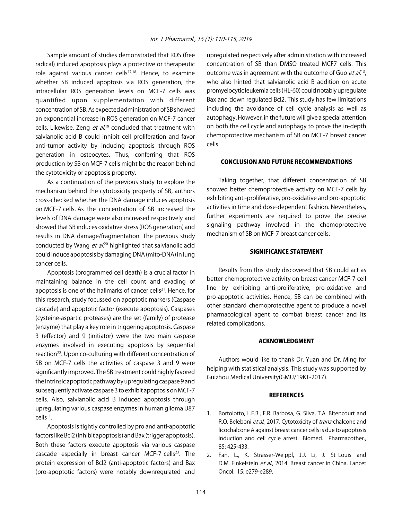Sample amount of studies demonstrated that ROS (free radical) induced apoptosis plays a protective or therapeutic role against various cancer cells $17,18$ . Hence, to examine whether SB induced apoptosis via ROS generation, the intracellular ROS generation levels on MCF-7 cells was quantified upon supplementation with different concentration of SB. As expected administration of SB showed an exponential increase in ROS generation on MCF-7 cancer cells. Likewise, Zeng *et al*.<sup>19</sup> concluded that treatment with salvianolic acid B could inhibit cell proliferation and favor anti-tumor activity by inducing apoptosis through ROS generation in osteocytes. Thus, conferring that ROS production by SB on MCF-7 cells might be the reason behind the cytotoxicity or apoptosis property.

As a continuation of the previous study to explore the mechanism behind the cytotoxicity property of SB, authors cross-checked whether the DNA damage induces apoptosis on MCF-7 cells. As the concentration of SB increased the levels of DNA damage were also increased respectively and showed that SB induces oxidative stress (ROS generation) and results in DNA damage/fragmentation. The previous study conducted by Wang *et al.*<sup>20</sup> highlighted that salvianolic acid could induce apoptosis by damaging DNA (mito-DNA) in lung cancer cells.

Apoptosis (programmed cell death) is a crucial factor in maintaining balance in the cell count and evading of apoptosis is one of the hallmarks of cancer cells<sup>21</sup>. Hence, for this research, study focussed on apoptotic markers (Caspase cascade) and apoptotic factor (execute apoptosis). Caspases (cysteine-aspartic proteases) are the set (family) of protease (enzyme) that play a key role in triggering apoptosis. Caspase 3 (effector) and 9 (initiator) were the two main caspase enzymes involved in executing apoptosis by sequential reaction<sup>22</sup>. Upon co-culturing with different concentration of SB on MCF-7 cells the activities of caspase 3 and 9 were significantly improved. The SB treatment could highly favored the intrinsic apoptotic pathway by upregulating caspase 9 and subsequently activate caspase 3 to exhibit apoptosis on MCF-7 cells. Also, salvianolic acid B induced apoptosis through upregulating various caspase enzymes in human glioma U87  $cells<sup>11</sup>$ .

Apoptosis is tightly controlled by pro and anti-apoptotic factors like Bcl2 (inhibit apoptosis) and Bax (trigger apoptosis). Both these factors execute apoptosis via various caspase cascade especially in breast cancer MCF-7 cells $23$ . The protein expression of Bcl2 (anti-apoptotic factors) and Bax (pro-apoptotic factors) were notably downregulated and

upregulated respectively after administration with increased concentration of SB than DMSO treated MCF7 cells. This outcome was in agreement with the outcome of Guo *et al.*<sup>13</sup>, who also hinted that salvianolic acid B addition on acute promyelocytic leukemia cells (HL-60) could notably upregulate Bax and down regulated Bcl2. This study has few limitations including the avoidance of cell cycle analysis as well as autophagy. However, in the future will give a special attention on both the cell cycle and autophagy to prove the in-depth chemoprotective mechanism of SB on MCF-7 breast cancer cells.

#### CONCLUSION AND FUTURE RECOMMENDATIONS

Taking together, that different concentration of SB showed better chemoprotective activity on MCF-7 cells by exhibiting anti-proliferative, pro-oxidative and pro-apoptotic activities in time and dose-dependent fashion. Nevertheless, further experiments are required to prove the precise signaling pathway involved in the chemoprotective mechanism of SB on MCF-7 breast cancer cells.

#### SIGNIFICANCE STATEMENT

Results from this study discovered that SB could act as better chemoprotective activity on breast cancer MCF-7 cell line by exhibiting anti-proliferative, pro-oxidative and pro-apoptotic activities. Hence, SB can be combined with other standard chemoprotective agent to produce a novel pharmacological agent to combat breast cancer and its related complications.

#### ACKNOWLEDGMENT

Authors would like to thank Dr. Yuan and Dr. Ming for helping with statistical analysis. This study was supported by Guizhou Medical University(GMU/19KT-2017).

#### **REFERENCES**

- 1. Bortolotto, L.F.B., F.R. Barbosa, G. Silva, T.A. Bitencourt and R.O. Beleboni et al., 2017. Cytotoxicity of trans-chalcone and licochalcone A against breast cancer cells is due to apoptosis induction and cell cycle arrest. Biomed. Pharmacother., 85: 425-433.
- 2. Fan, L., K. Strasser-Weippl, J.J. Li, J. St Louis and D.M. Finkelstein et al., 2014. Breast cancer in China. Lancet Oncol., 15: e279-e289.